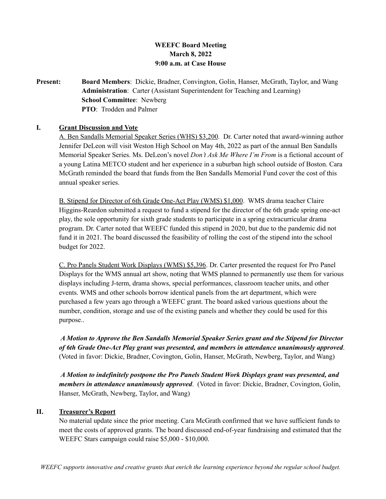# **WEEFC Board Meeting March 8, 2022 9:00 a.m. at Case House**

**Present: Board Members**: Dickie, Bradner, Convington, Golin, Hanser, McGrath, Taylor, and Wang **Administration**: Carter (Assistant Superintendent for Teaching and Learning) **School Committee**: Newberg **PTO**: Trodden and Palmer

# **I. Grant Discussion and Vote**

A. Ben Sandalls Memorial Speaker Series (WHS) \$3,200. Dr. Carter noted that award-winning author Jennifer DeLeon will visit Weston High School on May 4th, 2022 as part of the annual Ben Sandalls Memorial Speaker Series. Ms. DeLeon's novel *Don't Ask Me Where I'm From* is a fictional account of a young Latina METCO student and her experience in a suburban high school outside of Boston. Cara McGrath reminded the board that funds from the Ben Sandalls Memorial Fund cover the cost of this annual speaker series.

B. Stipend for Director of 6th Grade One-Act Play (WMS) \$1,000. WMS drama teacher Claire Higgins-Reardon submitted a request to fund a stipend for the director of the 6th grade spring one-act play, the sole opportunity for sixth grade students to participate in a spring extracurricular drama program. Dr. Carter noted that WEEFC funded this stipend in 2020, but due to the pandemic did not fund it in 2021. The board discussed the feasibility of rolling the cost of the stipend into the school budget for 2022.

C. Pro Panels Student Work Displays (WMS) \$5,396. Dr. Carter presented the request for Pro Panel Displays for the WMS annual art show, noting that WMS planned to permanently use them for various displays including J-term, drama shows, special performances, classroom teacher units, and other events. WMS and other schools borrow identical panels from the art department, which were purchased a few years ago through a WEEFC grant. The board asked various questions about the number, condition, storage and use of the existing panels and whether they could be used for this purpose..

*A Motion to Approve the Ben Sandalls Memorial Speaker Series grant and the Stipend for Director of 6th Grade One-Act Play grant was presented, and members in attendance unanimously approved*. (Voted in favor: Dickie, Bradner, Covington, Golin, Hanser, McGrath, Newberg, Taylor, and Wang)

*A Motion to indefinitely postpone the Pro Panels Student Work Displays grant was presented, and members in attendance unanimously approved*. (Voted in favor: Dickie, Bradner, Covington, Golin, Hanser, McGrath, Newberg, Taylor, and Wang)

# **II. Treasurer's Report**

No material update since the prior meeting. Cara McGrath confirmed that we have sufficient funds to meet the costs of approved grants. The board discussed end-of-year fundraising and estimated that the WEEFC Stars campaign could raise \$5,000 - \$10,000.